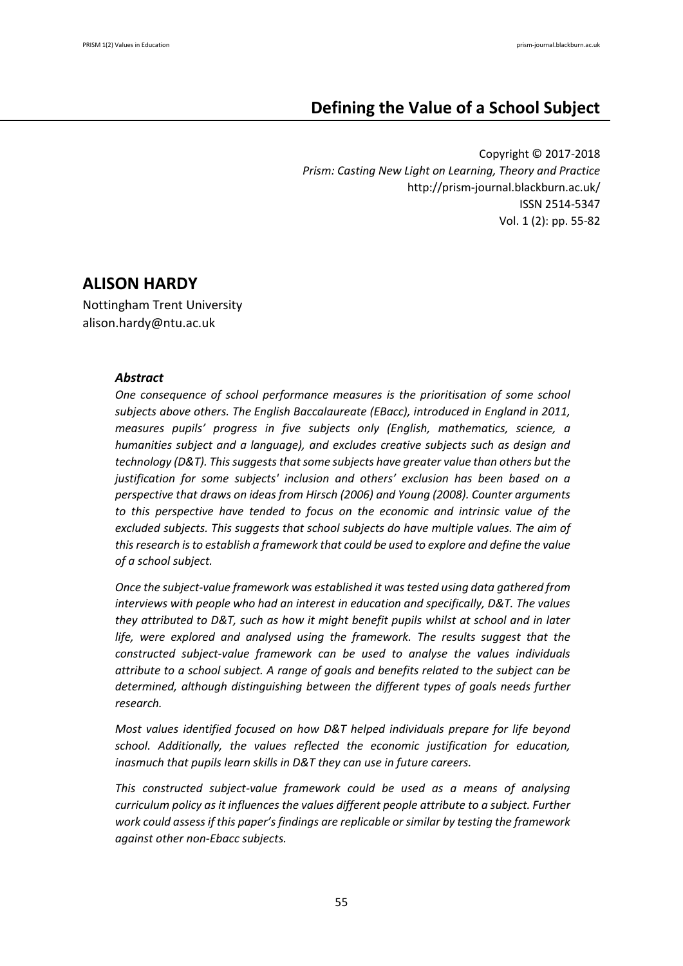# **Defining the Value of a School Subject**

Copyright © 2017-2018 *Prism: Casting New Light on Learning, Theory and Practice* http://prism-journal.blackburn.ac.uk/ ISSN 2514-5347 Vol. 1 (2): pp. 55-82

# **ALISON HARDY**

Nottingham Trent University alison.hardy@ntu.ac.uk

# *Abstract*

*One consequence of school performance measures is the prioritisation of some school subjects above others. The English Baccalaureate (EBacc), introduced in England in 2011, measures pupils' progress in five subjects only (English, mathematics, science, a humanities subject and a language), and excludes creative subjects such as design and technology (D&T). This suggests that some subjects have greater value than others but the justification for some subjects' inclusion and others' exclusion has been based on a perspective that draws on ideas from Hirsch (2006) and Young (2008). Counter arguments to this perspective have tended to focus on the economic and intrinsic value of the excluded subjects. This suggests that school subjects do have multiple values. The aim of this research is to establish a framework that could be used to explore and define the value of a school subject.*

*Once the subject-value framework was established it was tested using data gathered from interviews with people who had an interest in education and specifically, D&T. The values they attributed to D&T, such as how it might benefit pupils whilst at school and in later life, were explored and analysed using the framework. The results suggest that the constructed subject-value framework can be used to analyse the values individuals attribute to a school subject. A range of goals and benefits related to the subject can be determined, although distinguishing between the different types of goals needs further research.*

*Most values identified focused on how D&T helped individuals prepare for life beyond school. Additionally, the values reflected the economic justification for education, inasmuch that pupils learn skills in D&T they can use in future careers.*

*This constructed subject-value framework could be used as a means of analysing curriculum policy as it influences the values different people attribute to a subject. Further work could assess if this paper's findings are replicable or similar by testing the framework against other non-Ebacc subjects.*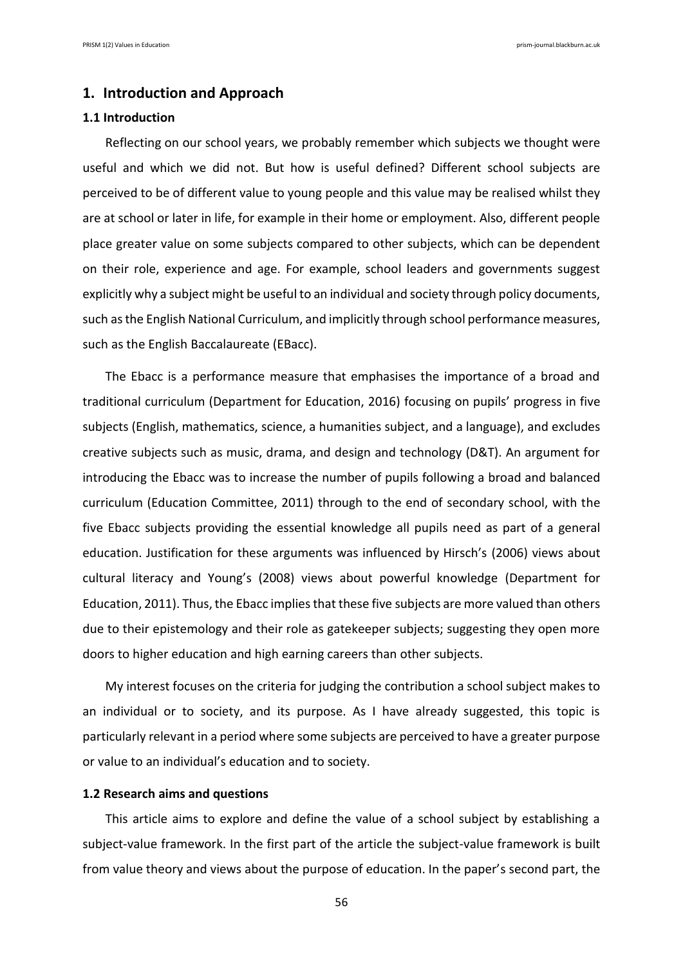### **1. Introduction and Approach**

### **1.1 Introduction**

Reflecting on our school years, we probably remember which subjects we thought were useful and which we did not. But how is useful defined? Different school subjects are perceived to be of different value to young people and this value may be realised whilst they are at school or later in life, for example in their home or employment. Also, different people place greater value on some subjects compared to other subjects, which can be dependent on their role, experience and age. For example, school leaders and governments suggest explicitly why a subject might be useful to an individual and society through policy documents, such as the English National Curriculum, and implicitly through school performance measures, such as the English Baccalaureate (EBacc).

The Ebacc is a performance measure that emphasises the importance of a broad and traditional curriculum (Department for Education, 2016) focusing on pupils' progress in five subjects (English, mathematics, science, a humanities subject, and a language), and excludes creative subjects such as music, drama, and design and technology (D&T). An argument for introducing the Ebacc was to increase the number of pupils following a broad and balanced curriculum (Education Committee, 2011) through to the end of secondary school, with the five Ebacc subjects providing the essential knowledge all pupils need as part of a general education. Justification for these arguments was influenced by Hirsch's (2006) views about cultural literacy and Young's (2008) views about powerful knowledge (Department for Education, 2011). Thus, the Ebacc implies that these five subjects are more valued than others due to their epistemology and their role as gatekeeper subjects; suggesting they open more doors to higher education and high earning careers than other subjects.

My interest focuses on the criteria for judging the contribution a school subject makes to an individual or to society, and its purpose. As I have already suggested, this topic is particularly relevant in a period where some subjects are perceived to have a greater purpose or value to an individual's education and to society.

### **1.2 Research aims and questions**

This article aims to explore and define the value of a school subject by establishing a subject-value framework. In the first part of the article the subject-value framework is built from value theory and views about the purpose of education. In the paper's second part, the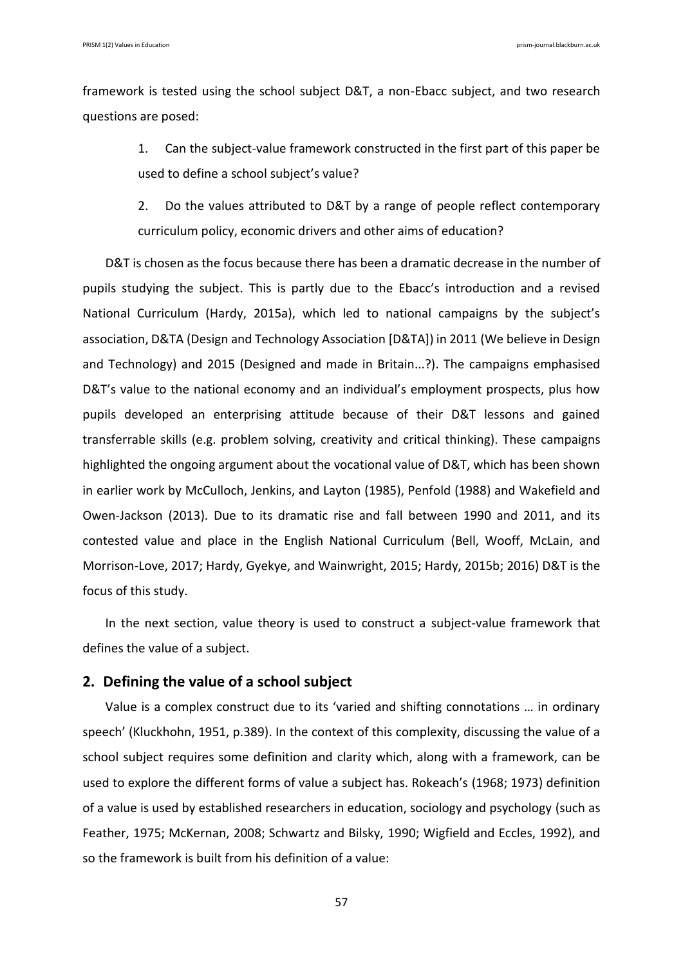framework is tested using the school subject D&T, a non-Ebacc subject, and two research questions are posed:

> 1. Can the subject-value framework constructed in the first part of this paper be used to define a school subject's value?

> 2. Do the values attributed to D&T by a range of people reflect contemporary curriculum policy, economic drivers and other aims of education?

D&T is chosen as the focus because there has been a dramatic decrease in the number of pupils studying the subject. This is partly due to the Ebacc's introduction and a revised National Curriculum (Hardy, 2015a), which led to national campaigns by the subject's association, D&TA (Design and Technology Association [D&TA]) in 2011 (We believe in Design and Technology) and 2015 (Designed and made in Britain...?). The campaigns emphasised D&T's value to the national economy and an individual's employment prospects, plus how pupils developed an enterprising attitude because of their D&T lessons and gained transferrable skills (e.g. problem solving, creativity and critical thinking). These campaigns highlighted the ongoing argument about the vocational value of D&T, which has been shown in earlier work by McCulloch, Jenkins, and Layton (1985), Penfold (1988) and Wakefield and Owen-Jackson (2013). Due to its dramatic rise and fall between 1990 and 2011, and its contested value and place in the English National Curriculum (Bell, Wooff, McLain, and Morrison-Love, 2017; Hardy, Gyekye, and Wainwright, 2015; Hardy, 2015b; 2016) D&T is the focus of this study.

In the next section, value theory is used to construct a subject-value framework that defines the value of a subject.

# **2. Defining the value of a school subject**

Value is a complex construct due to its 'varied and shifting connotations … in ordinary speech' (Kluckhohn, 1951, p.389). In the context of this complexity, discussing the value of a school subject requires some definition and clarity which, along with a framework, can be used to explore the different forms of value a subject has. Rokeach's (1968; 1973) definition of a value is used by established researchers in education, sociology and psychology (such as Feather, 1975; McKernan, 2008; Schwartz and Bilsky, 1990; Wigfield and Eccles, 1992), and so the framework is built from his definition of a value: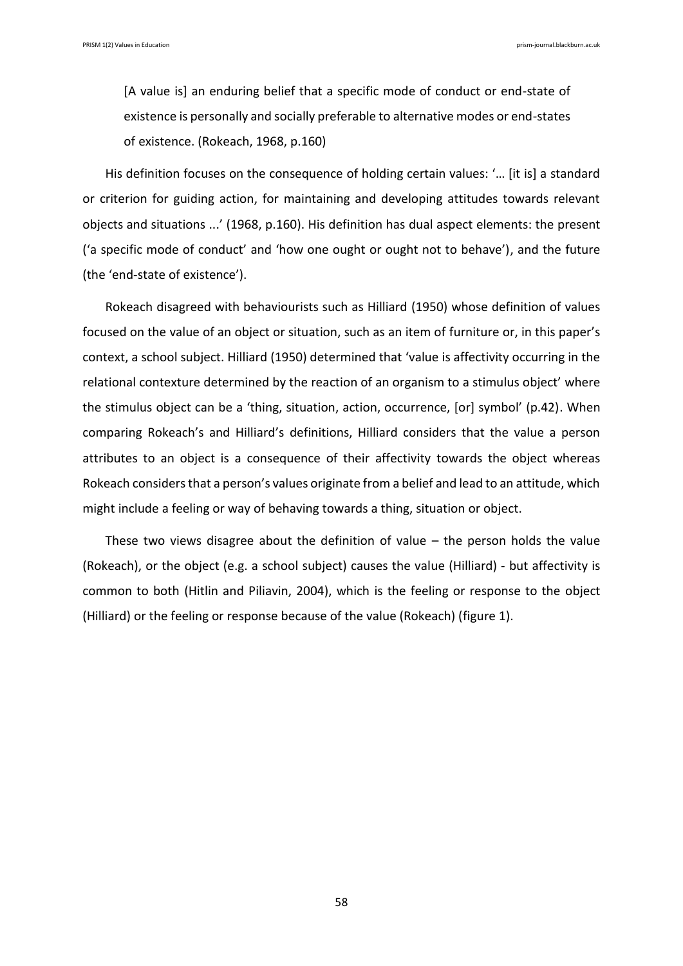[A value is] an enduring belief that a specific mode of conduct or end-state of existence is personally and socially preferable to alternative modes or end-states of existence. (Rokeach, 1968, p.160)

His definition focuses on the consequence of holding certain values: '… [it is] a standard or criterion for guiding action, for maintaining and developing attitudes towards relevant objects and situations ...' (1968, p.160). His definition has dual aspect elements: the present ('a specific mode of conduct' and 'how one ought or ought not to behave'), and the future (the 'end-state of existence').

Rokeach disagreed with behaviourists such as Hilliard (1950) whose definition of values focused on the value of an object or situation, such as an item of furniture or, in this paper's context, a school subject. Hilliard (1950) determined that 'value is affectivity occurring in the relational contexture determined by the reaction of an organism to a stimulus object' where the stimulus object can be a 'thing, situation, action, occurrence, [or] symbol' (p.42). When comparing Rokeach's and Hilliard's definitions, Hilliard considers that the value a person attributes to an object is a consequence of their affectivity towards the object whereas Rokeach considers that a person's values originate from a belief and lead to an attitude, which might include a feeling or way of behaving towards a thing, situation or object.

These two views disagree about the definition of value – the person holds the value (Rokeach), or the object (e.g. a school subject) causes the value (Hilliard) - but affectivity is common to both (Hitlin and Piliavin, 2004), which is the feeling or response to the object (Hilliard) or the feeling or response because of the value (Rokeach) (figure 1).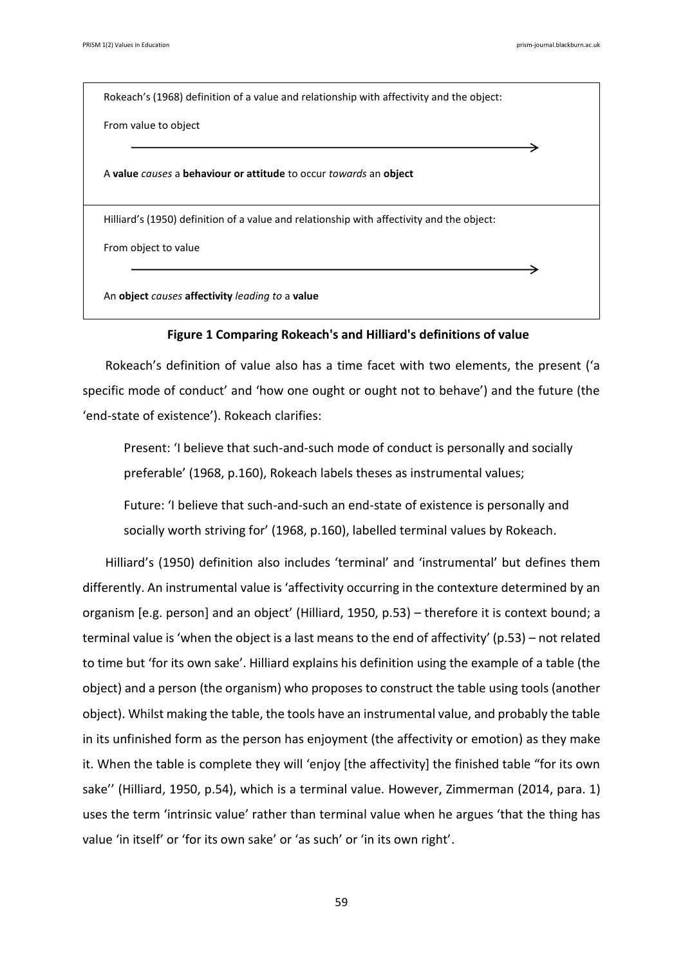Rokeach's (1968) definition of a value and relationship with affectivity and the object:

From value to object

A **value** *causes* a **behaviour or attitude** to occur *towards* an **object**

Hilliard's (1950) definition of a value and relationship with affectivity and the object:

From object to value

An **object** *causes* **affectivity** *leading to* a **value**

#### **Figure 1 Comparing Rokeach's and Hilliard's definitions of value**

Rokeach's definition of value also has a time facet with two elements, the present ('a specific mode of conduct' and 'how one ought or ought not to behave') and the future (the 'end-state of existence'). Rokeach clarifies:

Present: 'I believe that such-and-such mode of conduct is personally and socially preferable' (1968, p.160), Rokeach labels theses as instrumental values;

Future: 'I believe that such-and-such an end-state of existence is personally and socially worth striving for' (1968, p.160), labelled terminal values by Rokeach.

Hilliard's (1950) definition also includes 'terminal' and 'instrumental' but defines them differently. An instrumental value is 'affectivity occurring in the contexture determined by an organism [e.g. person] and an object' (Hilliard, 1950, p.53) – therefore it is context bound; a terminal value is 'when the object is a last means to the end of affectivity' (p.53) – not related to time but 'for its own sake'. Hilliard explains his definition using the example of a table (the object) and a person (the organism) who proposes to construct the table using tools (another object). Whilst making the table, the tools have an instrumental value, and probably the table in its unfinished form as the person has enjoyment (the affectivity or emotion) as they make it. When the table is complete they will 'enjoy [the affectivity] the finished table "for its own sake'' (Hilliard, 1950, p.54), which is a terminal value. However, Zimmerman (2014, para. 1) uses the term 'intrinsic value' rather than terminal value when he argues 'that the thing has value 'in itself' or 'for its own sake' or 'as such' or 'in its own right'.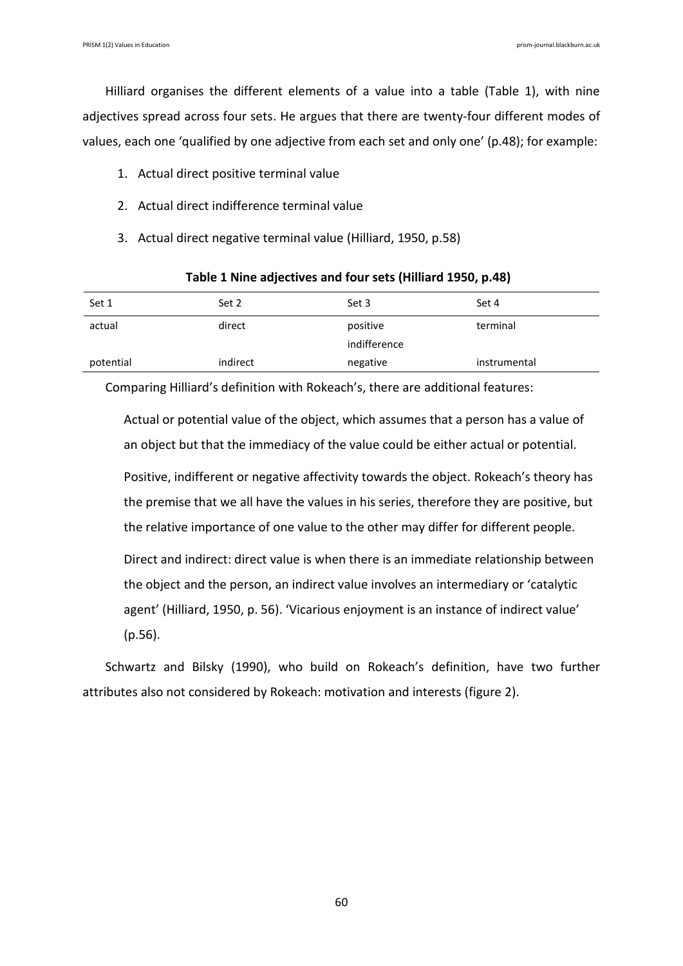Hilliard organises the different elements of a value into a table (Table 1), with nine adjectives spread across four sets. He argues that there are twenty-four different modes of values, each one 'qualified by one adjective from each set and only one' (p.48); for example:

- 1. Actual direct positive terminal value
- 2. Actual direct indifference terminal value
- 3. Actual direct negative terminal value (Hilliard, 1950, p.58)

| Set 1     | Set 2    | Set 3        | Set 4        |  |
|-----------|----------|--------------|--------------|--|
| actual    | direct   | positive     | terminal     |  |
|           |          | indifference |              |  |
| potential | indirect | negative     | instrumental |  |

### **Table 1 Nine adjectives and four sets (Hilliard 1950, p.48)**

Comparing Hilliard's definition with Rokeach's, there are additional features:

Actual or potential value of the object, which assumes that a person has a value of an object but that the immediacy of the value could be either actual or potential.

Positive, indifferent or negative affectivity towards the object. Rokeach's theory has the premise that we all have the values in his series, therefore they are positive, but the relative importance of one value to the other may differ for different people.

Direct and indirect: direct value is when there is an immediate relationship between the object and the person, an indirect value involves an intermediary or 'catalytic agent' (Hilliard, 1950, p. 56). 'Vicarious enjoyment is an instance of indirect value' (p.56).

Schwartz and Bilsky (1990), who build on Rokeach's definition, have two further attributes also not considered by Rokeach: motivation and interests (figure 2).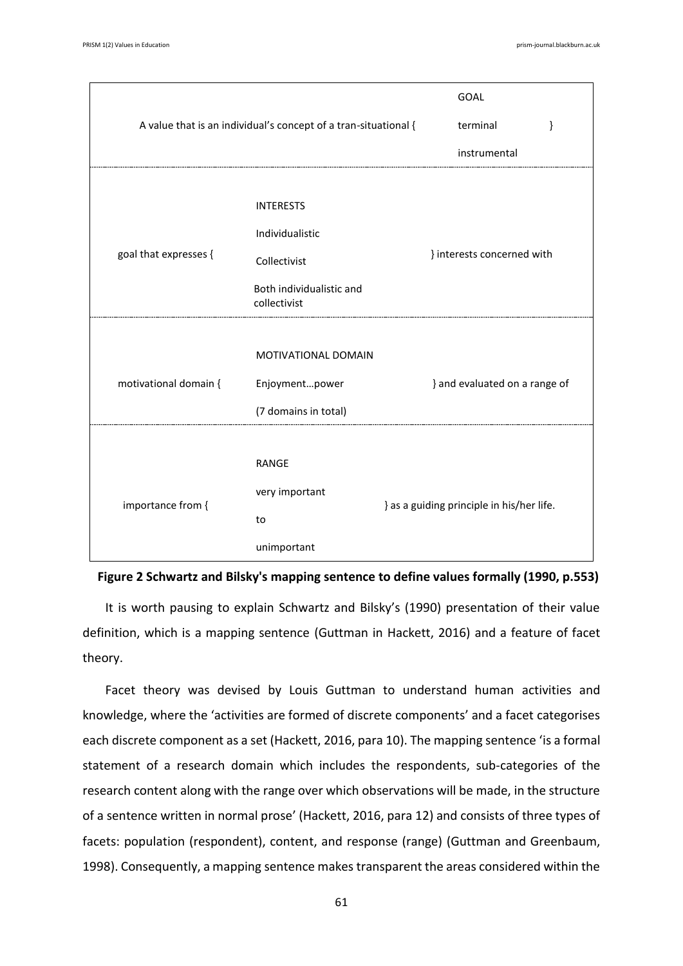| A value that is an individual's concept of a tran-situational { |                                          | <b>GOAL</b><br>terminal<br>}              |  |
|-----------------------------------------------------------------|------------------------------------------|-------------------------------------------|--|
|                                                                 |                                          | instrumental                              |  |
|                                                                 | <b>INTERESTS</b>                         |                                           |  |
|                                                                 | Individualistic                          |                                           |  |
| goal that expresses {                                           | Collectivist                             | } interests concerned with                |  |
|                                                                 | Both individualistic and<br>collectivist |                                           |  |
| motivational domain {                                           | MOTIVATIONAL DOMAIN<br>Enjoymentpower    | } and evaluated on a range of             |  |
|                                                                 | (7 domains in total)                     |                                           |  |
|                                                                 | <b>RANGE</b>                             |                                           |  |
| importance from {                                               | very important                           | } as a guiding principle in his/her life. |  |
|                                                                 | to                                       |                                           |  |
|                                                                 | unimportant                              |                                           |  |

**Figure 2 Schwartz and Bilsky's mapping sentence to define values formally (1990, p.553)**

It is worth pausing to explain Schwartz and Bilsky's (1990) presentation of their value definition, which is a mapping sentence (Guttman in Hackett, 2016) and a feature of facet theory.

Facet theory was devised by Louis Guttman to understand human activities and knowledge, where the 'activities are formed of discrete components' and a facet categorises each discrete component as a set (Hackett, 2016, para 10). The mapping sentence 'is a formal statement of a research domain which includes the respondents, sub-categories of the research content along with the range over which observations will be made, in the structure of a sentence written in normal prose' (Hackett, 2016, para 12) and consists of three types of facets: population (respondent), content, and response (range) (Guttman and Greenbaum, 1998). Consequently, a mapping sentence makes transparent the areas considered within the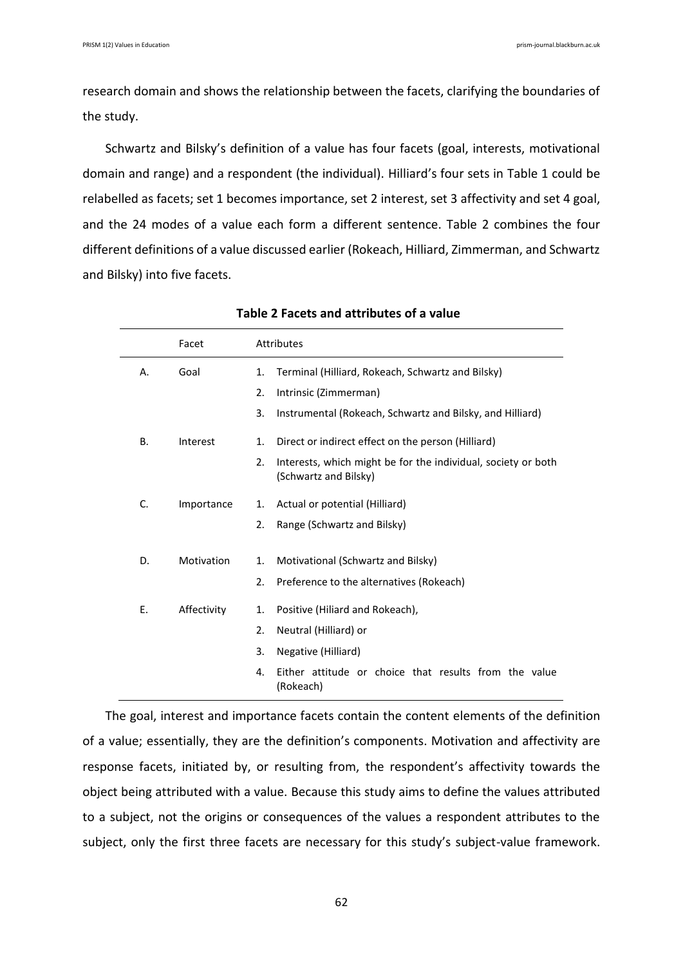research domain and shows the relationship between the facets, clarifying the boundaries of the study.

Schwartz and Bilsky's definition of a value has four facets (goal, interests, motivational domain and range) and a respondent (the individual). Hilliard's four sets in Table 1 could be relabelled as facets; set 1 becomes importance, set 2 interest, set 3 affectivity and set 4 goal, and the 24 modes of a value each form a different sentence. Table 2 combines the four different definitions of a value discussed earlier (Rokeach, Hilliard, Zimmerman, and Schwartz and Bilsky) into five facets.

|           | Facet       |    | Attributes                                                                             |  |
|-----------|-------------|----|----------------------------------------------------------------------------------------|--|
| А.        | Goal        | 1. | Terminal (Hilliard, Rokeach, Schwartz and Bilsky)                                      |  |
|           |             | 2. | Intrinsic (Zimmerman)                                                                  |  |
|           |             | 3. | Instrumental (Rokeach, Schwartz and Bilsky, and Hilliard)                              |  |
| <b>B.</b> | Interest    | 1. | Direct or indirect effect on the person (Hilliard)                                     |  |
|           |             | 2. | Interests, which might be for the individual, society or both<br>(Schwartz and Bilsky) |  |
| C.        | Importance  | 1. | Actual or potential (Hilliard)                                                         |  |
|           |             | 2. | Range (Schwartz and Bilsky)                                                            |  |
| D.        | Motivation  | 1. | Motivational (Schwartz and Bilsky)                                                     |  |
|           |             | 2. | Preference to the alternatives (Rokeach)                                               |  |
| Ε.        | Affectivity | 1. | Positive (Hiliard and Rokeach),                                                        |  |
|           |             | 2. | Neutral (Hilliard) or                                                                  |  |
|           |             | 3. | Negative (Hilliard)                                                                    |  |
|           |             | 4. | Either attitude or choice that results from the value<br>(Rokeach)                     |  |

### **Table 2 Facets and attributes of a value**

The goal, interest and importance facets contain the content elements of the definition of a value; essentially, they are the definition's components. Motivation and affectivity are response facets, initiated by, or resulting from, the respondent's affectivity towards the object being attributed with a value. Because this study aims to define the values attributed to a subject, not the origins or consequences of the values a respondent attributes to the subject, only the first three facets are necessary for this study's subject-value framework.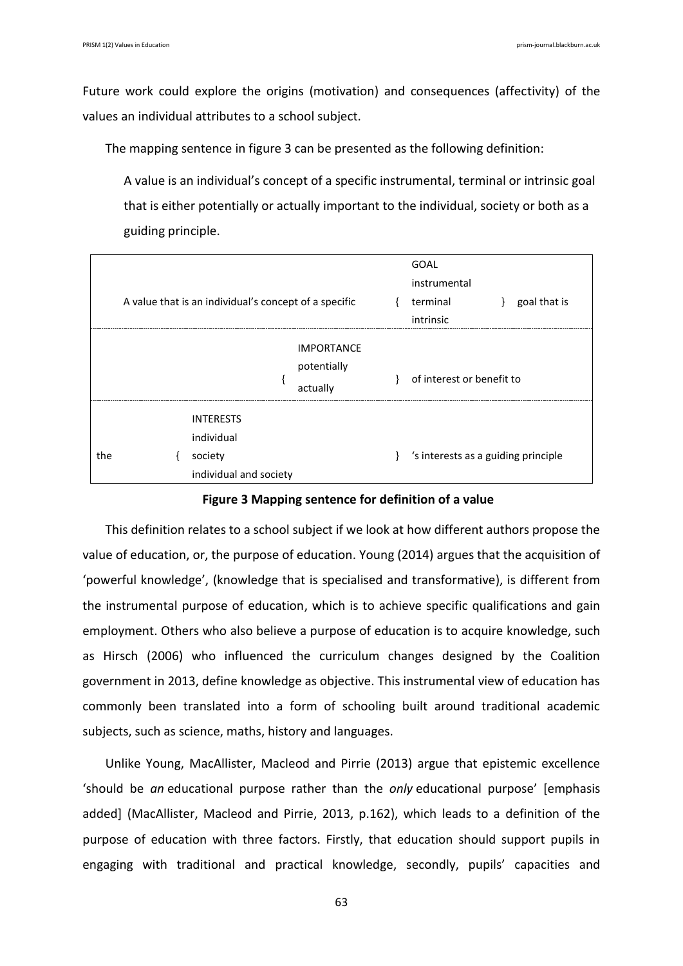Future work could explore the origins (motivation) and consequences (affectivity) of the values an individual attributes to a school subject.

The mapping sentence in figure 3 can be presented as the following definition:

A value is an individual's concept of a specific instrumental, terminal or intrinsic goal that is either potentially or actually important to the individual, society or both as a guiding principle.

|     | A value that is an individual's concept of a specific               |                                              | GOAL<br>instrumental<br>terminal<br>intrinsic | goal that is |
|-----|---------------------------------------------------------------------|----------------------------------------------|-----------------------------------------------|--------------|
|     |                                                                     | <b>IMPORTANCE</b><br>potentially<br>actually | of interest or benefit to                     |              |
| the | <b>INTERESTS</b><br>individual<br>society<br>individual and society |                                              | 's interests as a guiding principle           |              |

**Figure 3 Mapping sentence for definition of a value**

This definition relates to a school subject if we look at how different authors propose the value of education, or, the purpose of education. Young (2014) argues that the acquisition of 'powerful knowledge', (knowledge that is specialised and transformative), is different from the instrumental purpose of education, which is to achieve specific qualifications and gain employment. Others who also believe a purpose of education is to acquire knowledge, such as Hirsch (2006) who influenced the curriculum changes designed by the Coalition government in 2013, define knowledge as objective. This instrumental view of education has commonly been translated into a form of schooling built around traditional academic subjects, such as science, maths, history and languages.

Unlike Young, MacAllister, Macleod and Pirrie (2013) argue that epistemic excellence 'should be *an* educational purpose rather than the *only* educational purpose' [emphasis added] (MacAllister, Macleod and Pirrie, 2013, p.162), which leads to a definition of the purpose of education with three factors. Firstly, that education should support pupils in engaging with traditional and practical knowledge, secondly, pupils' capacities and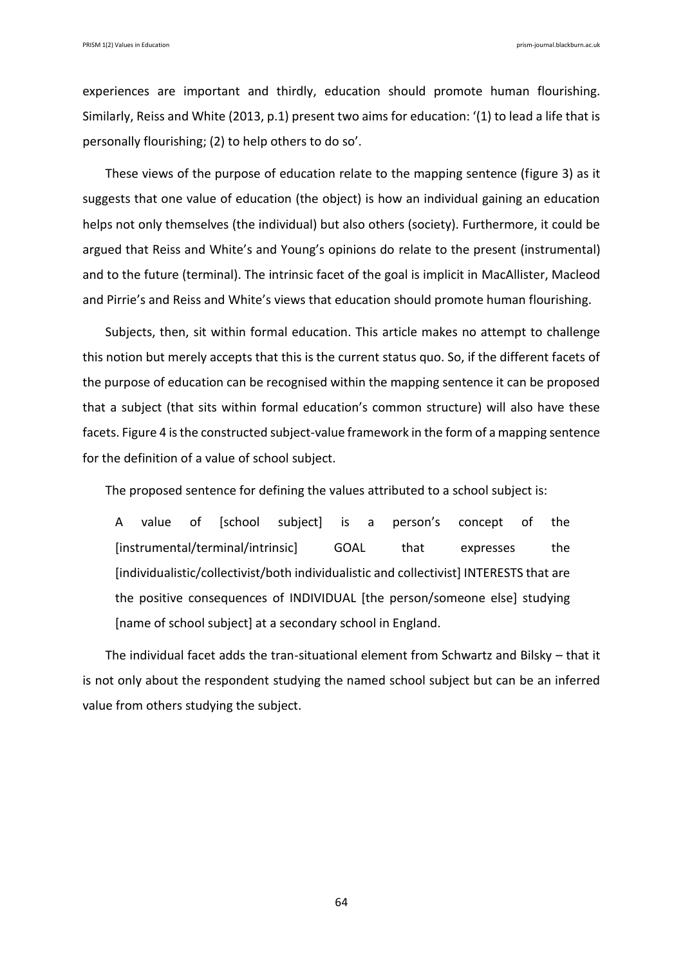experiences are important and thirdly, education should promote human flourishing. Similarly, Reiss and White (2013, p.1) present two aims for education: '(1) to lead a life that is personally flourishing; (2) to help others to do so'.

These views of the purpose of education relate to the mapping sentence (figure 3) as it suggests that one value of education (the object) is how an individual gaining an education helps not only themselves (the individual) but also others (society). Furthermore, it could be argued that Reiss and White's and Young's opinions do relate to the present (instrumental) and to the future (terminal). The intrinsic facet of the goal is implicit in MacAllister, Macleod and Pirrie's and Reiss and White's views that education should promote human flourishing.

Subjects, then, sit within formal education. This article makes no attempt to challenge this notion but merely accepts that this is the current status quo. So, if the different facets of the purpose of education can be recognised within the mapping sentence it can be proposed that a subject (that sits within formal education's common structure) will also have these facets. Figure 4 is the constructed subject-value framework in the form of a mapping sentence for the definition of a value of school subject.

The proposed sentence for defining the values attributed to a school subject is:

A value of [school subject] is a person's concept of the [instrumental/terminal/intrinsic] GOAL that expresses the [individualistic/collectivist/both individualistic and collectivist] INTERESTS that are the positive consequences of INDIVIDUAL [the person/someone else] studying [name of school subject] at a secondary school in England.

The individual facet adds the tran-situational element from Schwartz and Bilsky – that it is not only about the respondent studying the named school subject but can be an inferred value from others studying the subject.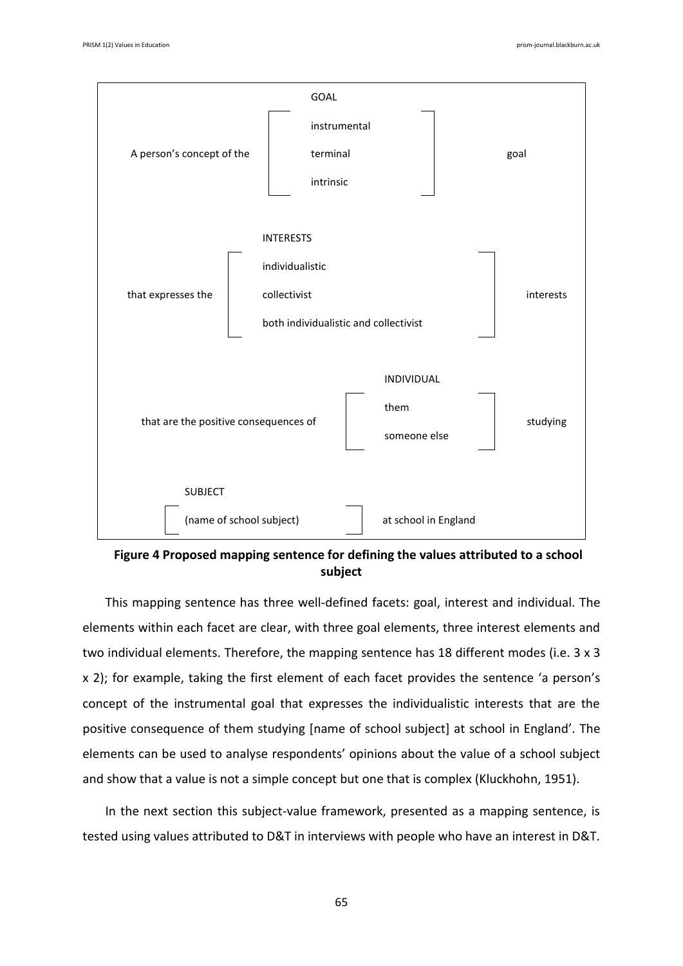

**Figure 4 Proposed mapping sentence for defining the values attributed to a school subject**

This mapping sentence has three well-defined facets: goal, interest and individual. The elements within each facet are clear, with three goal elements, three interest elements and two individual elements. Therefore, the mapping sentence has 18 different modes (i.e. 3 x 3 x 2); for example, taking the first element of each facet provides the sentence 'a person's concept of the instrumental goal that expresses the individualistic interests that are the positive consequence of them studying [name of school subject] at school in England'. The elements can be used to analyse respondents' opinions about the value of a school subject and show that a value is not a simple concept but one that is complex (Kluckhohn, 1951).

In the next section this subject-value framework, presented as a mapping sentence, is tested using values attributed to D&T in interviews with people who have an interest in D&T.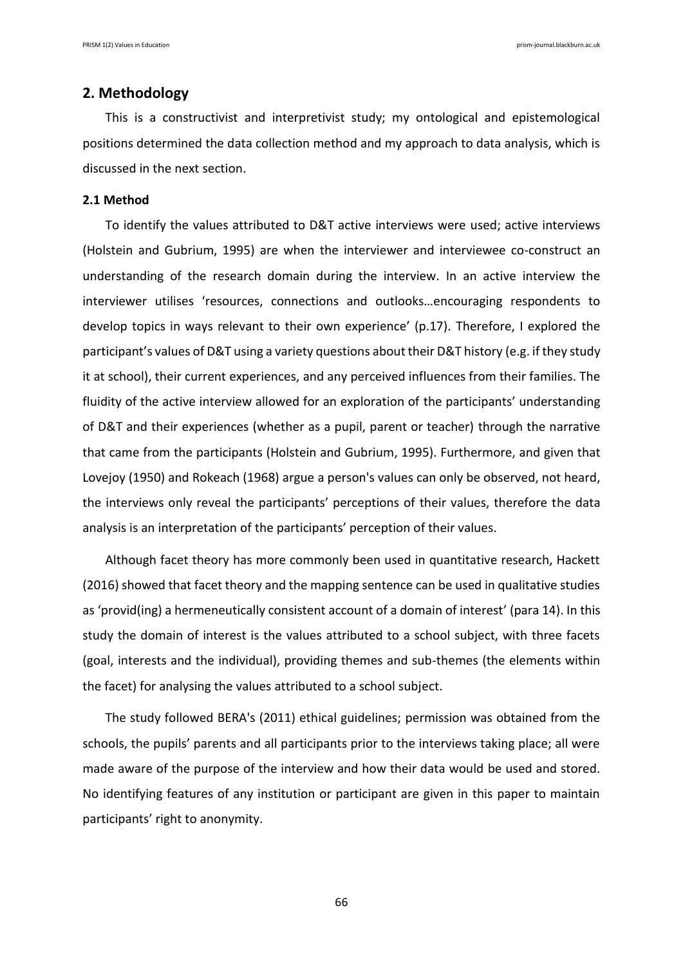# **2. Methodology**

This is a constructivist and interpretivist study; my ontological and epistemological positions determined the data collection method and my approach to data analysis, which is discussed in the next section.

### **2.1 Method**

To identify the values attributed to D&T active interviews were used; active interviews (Holstein and Gubrium, 1995) are when the interviewer and interviewee co-construct an understanding of the research domain during the interview. In an active interview the interviewer utilises 'resources, connections and outlooks…encouraging respondents to develop topics in ways relevant to their own experience' (p.17). Therefore, I explored the participant's values of D&T using a variety questions about their D&T history (e.g. if they study it at school), their current experiences, and any perceived influences from their families. The fluidity of the active interview allowed for an exploration of the participants' understanding of D&T and their experiences (whether as a pupil, parent or teacher) through the narrative that came from the participants (Holstein and Gubrium, 1995). Furthermore, and given that Lovejoy (1950) and Rokeach (1968) argue a person's values can only be observed, not heard, the interviews only reveal the participants' perceptions of their values, therefore the data analysis is an interpretation of the participants' perception of their values.

Although facet theory has more commonly been used in quantitative research, Hackett (2016) showed that facet theory and the mapping sentence can be used in qualitative studies as 'provid(ing) a hermeneutically consistent account of a domain of interest' (para 14). In this study the domain of interest is the values attributed to a school subject, with three facets (goal, interests and the individual), providing themes and sub-themes (the elements within the facet) for analysing the values attributed to a school subject.

The study followed BERA's (2011) ethical guidelines; permission was obtained from the schools, the pupils' parents and all participants prior to the interviews taking place; all were made aware of the purpose of the interview and how their data would be used and stored. No identifying features of any institution or participant are given in this paper to maintain participants' right to anonymity.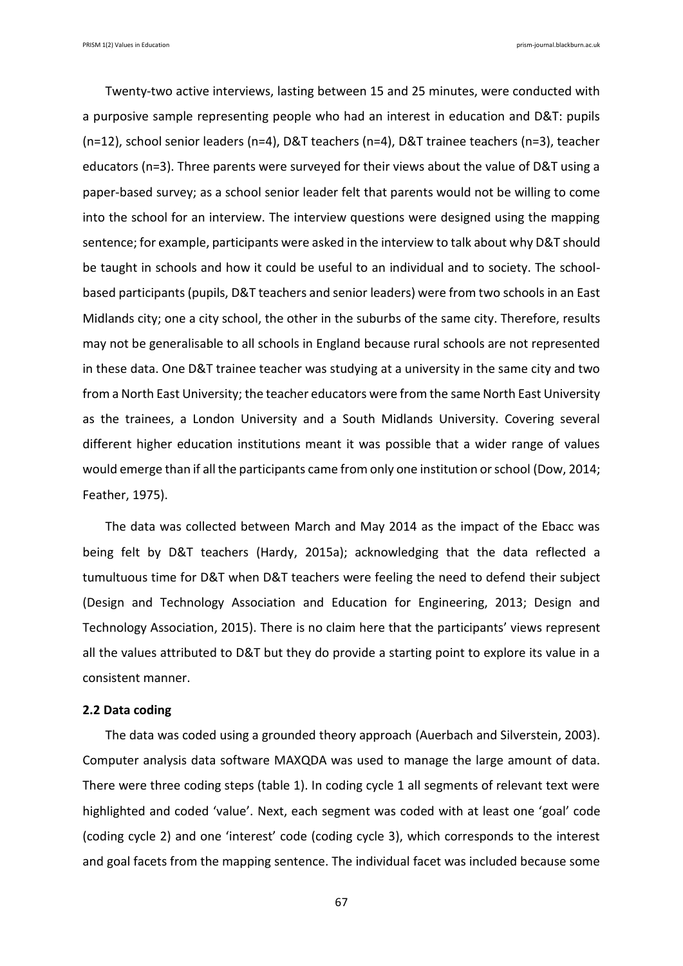PRISM 1(2) Values in Education prism-journal.blackburn.ac.uk

Twenty-two active interviews, lasting between 15 and 25 minutes, were conducted with a purposive sample representing people who had an interest in education and D&T: pupils (n=12), school senior leaders (n=4), D&T teachers (n=4), D&T trainee teachers (n=3), teacher educators (n=3). Three parents were surveyed for their views about the value of D&T using a paper-based survey; as a school senior leader felt that parents would not be willing to come into the school for an interview. The interview questions were designed using the mapping sentence; for example, participants were asked in the interview to talk about why D&T should be taught in schools and how it could be useful to an individual and to society. The schoolbased participants (pupils, D&T teachers and senior leaders) were from two schools in an East Midlands city; one a city school, the other in the suburbs of the same city. Therefore, results may not be generalisable to all schools in England because rural schools are not represented in these data. One D&T trainee teacher was studying at a university in the same city and two from a North East University; the teacher educators were from the same North East University as the trainees, a London University and a South Midlands University. Covering several different higher education institutions meant it was possible that a wider range of values would emerge than if all the participants came from only one institution or school (Dow, 2014; Feather, 1975).

The data was collected between March and May 2014 as the impact of the Ebacc was being felt by D&T teachers (Hardy, 2015a); acknowledging that the data reflected a tumultuous time for D&T when D&T teachers were feeling the need to defend their subject (Design and Technology Association and Education for Engineering, 2013; Design and Technology Association, 2015). There is no claim here that the participants' views represent all the values attributed to D&T but they do provide a starting point to explore its value in a consistent manner.

### **2.2 Data coding**

The data was coded using a grounded theory approach (Auerbach and Silverstein, 2003). Computer analysis data software MAXQDA was used to manage the large amount of data. There were three coding steps (table 1). In coding cycle 1 all segments of relevant text were highlighted and coded 'value'. Next, each segment was coded with at least one 'goal' code (coding cycle 2) and one 'interest' code (coding cycle 3), which corresponds to the interest and goal facets from the mapping sentence. The individual facet was included because some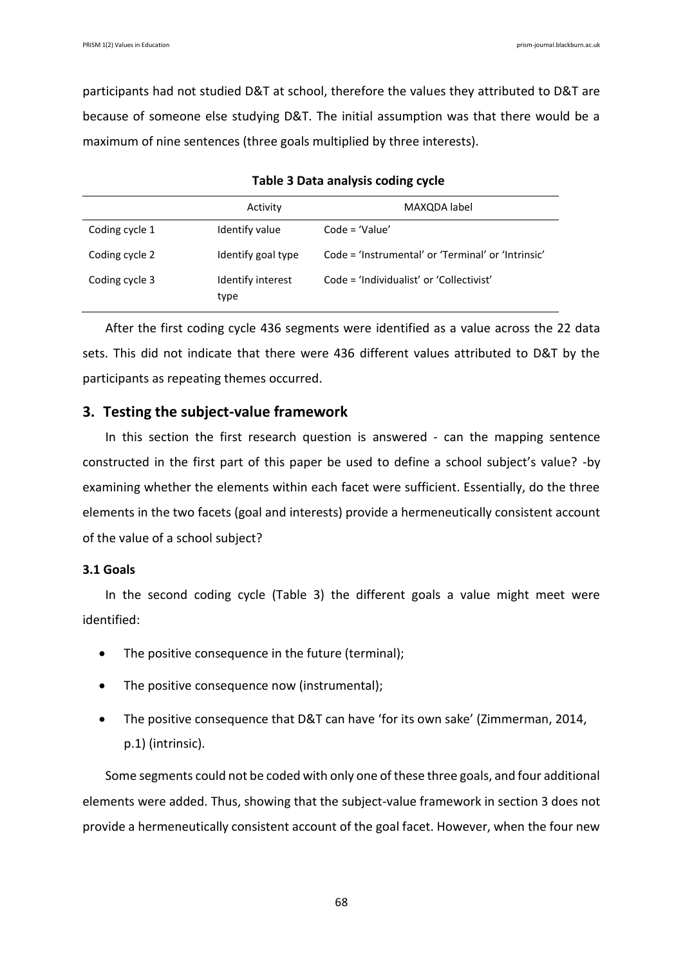participants had not studied D&T at school, therefore the values they attributed to D&T are because of someone else studying D&T. The initial assumption was that there would be a maximum of nine sentences (three goals multiplied by three interests).

|                | Activity                  | MAXQDA label                                       |
|----------------|---------------------------|----------------------------------------------------|
| Coding cycle 1 | Identify value            | $Code = 'Value'$                                   |
| Coding cycle 2 | Identify goal type        | Code = 'Instrumental' or 'Terminal' or 'Intrinsic' |
| Coding cycle 3 | Identify interest<br>type | Code = 'Individualist' or 'Collectivist'           |

#### **Table 3 Data analysis coding cycle**

After the first coding cycle 436 segments were identified as a value across the 22 data sets. This did not indicate that there were 436 different values attributed to D&T by the participants as repeating themes occurred.

# **3. Testing the subject-value framework**

In this section the first research question is answered - can the mapping sentence constructed in the first part of this paper be used to define a school subject's value? -by examining whether the elements within each facet were sufficient. Essentially, do the three elements in the two facets (goal and interests) provide a hermeneutically consistent account of the value of a school subject?

### **3.1 Goals**

In the second coding cycle (Table 3) the different goals a value might meet were identified:

- The positive consequence in the future (terminal);
- The positive consequence now (instrumental);
- The positive consequence that D&T can have 'for its own sake' (Zimmerman, 2014, p.1) (intrinsic).

Some segments could not be coded with only one of these three goals, and four additional elements were added. Thus, showing that the subject-value framework in section 3 does not provide a hermeneutically consistent account of the goal facet. However, when the four new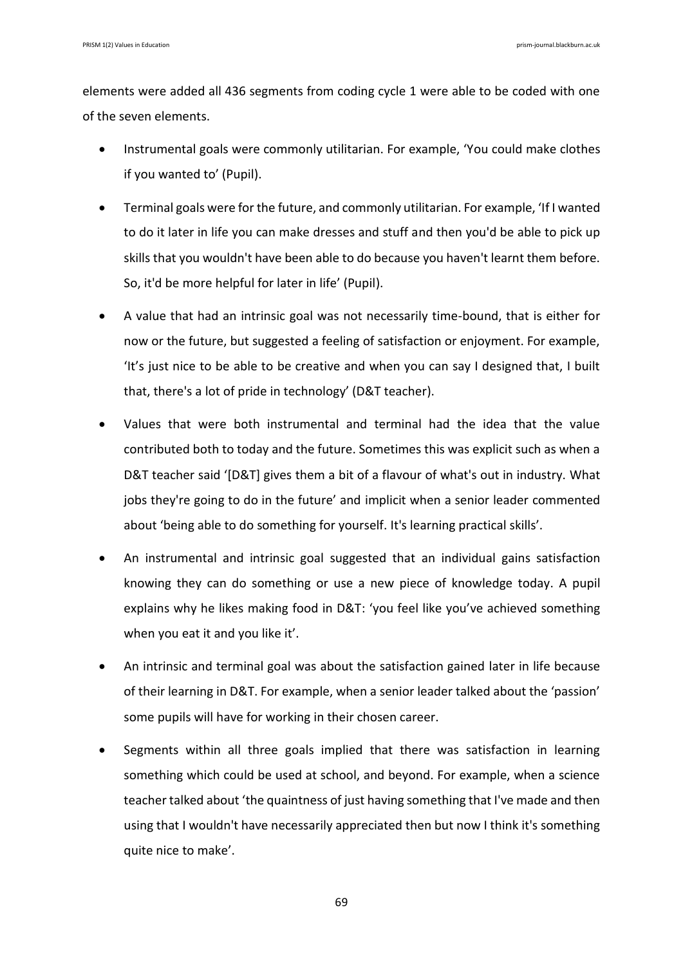elements were added all 436 segments from coding cycle 1 were able to be coded with one of the seven elements.

- Instrumental goals were commonly utilitarian. For example, 'You could make clothes if you wanted to' (Pupil).
- Terminal goals were for the future, and commonly utilitarian. For example, 'If I wanted to do it later in life you can make dresses and stuff and then you'd be able to pick up skills that you wouldn't have been able to do because you haven't learnt them before. So, it'd be more helpful for later in life' (Pupil).
- A value that had an intrinsic goal was not necessarily time-bound, that is either for now or the future, but suggested a feeling of satisfaction or enjoyment. For example, 'It's just nice to be able to be creative and when you can say I designed that, I built that, there's a lot of pride in technology' (D&T teacher).
- Values that were both instrumental and terminal had the idea that the value contributed both to today and the future. Sometimes this was explicit such as when a D&T teacher said '[D&T] gives them a bit of a flavour of what's out in industry. What jobs they're going to do in the future' and implicit when a senior leader commented about 'being able to do something for yourself. It's learning practical skills'.
- An instrumental and intrinsic goal suggested that an individual gains satisfaction knowing they can do something or use a new piece of knowledge today. A pupil explains why he likes making food in D&T: 'you feel like you've achieved something when you eat it and you like it'.
- An intrinsic and terminal goal was about the satisfaction gained later in life because of their learning in D&T. For example, when a senior leader talked about the 'passion' some pupils will have for working in their chosen career.
- Segments within all three goals implied that there was satisfaction in learning something which could be used at school, and beyond. For example, when a science teacher talked about 'the quaintness of just having something that I've made and then using that I wouldn't have necessarily appreciated then but now I think it's something quite nice to make'.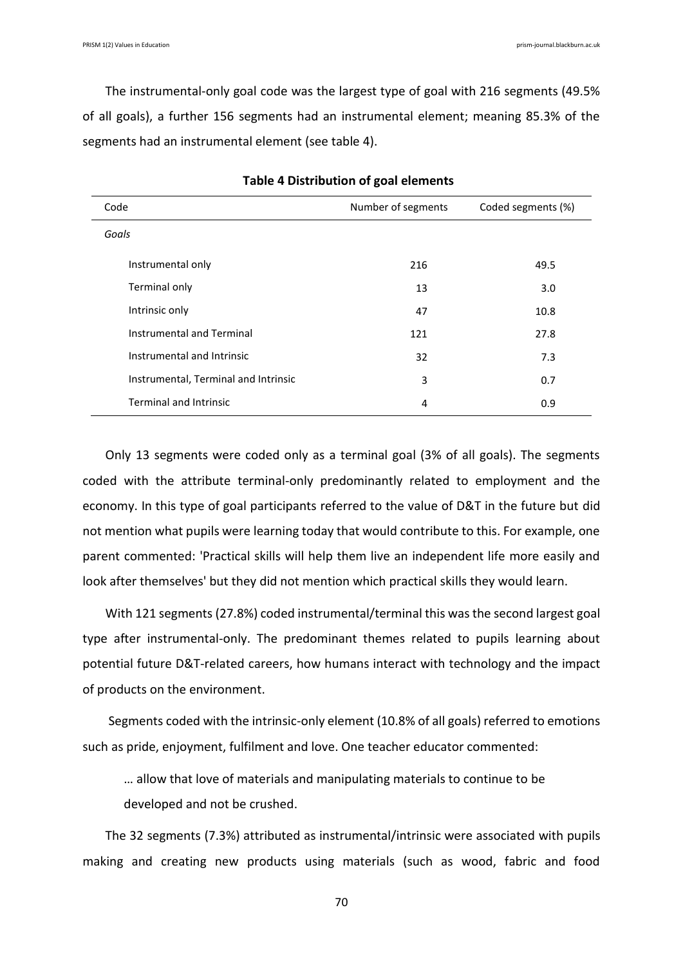The instrumental-only goal code was the largest type of goal with 216 segments (49.5% of all goals), a further 156 segments had an instrumental element; meaning 85.3% of the segments had an instrumental element (see table 4).

| Code                                 | Number of segments | Coded segments (%) |
|--------------------------------------|--------------------|--------------------|
| Goals                                |                    |                    |
| Instrumental only                    | 216                | 49.5               |
| Terminal only                        | 13                 | 3.0                |
| Intrinsic only                       | 47                 | 10.8               |
| Instrumental and Terminal            | 121                | 27.8               |
| Instrumental and Intrinsic           | 32                 | 7.3                |
| Instrumental, Terminal and Intrinsic | 3                  | 0.7                |
| <b>Terminal and Intrinsic</b>        | 4                  | 0.9                |

**Table 4 Distribution of goal elements**

Only 13 segments were coded only as a terminal goal (3% of all goals). The segments coded with the attribute terminal-only predominantly related to employment and the economy. In this type of goal participants referred to the value of D&T in the future but did not mention what pupils were learning today that would contribute to this. For example, one parent commented: 'Practical skills will help them live an independent life more easily and look after themselves' but they did not mention which practical skills they would learn.

With 121 segments (27.8%) coded instrumental/terminal this was the second largest goal type after instrumental-only. The predominant themes related to pupils learning about potential future D&T-related careers, how humans interact with technology and the impact of products on the environment.

Segments coded with the intrinsic-only element (10.8% of all goals) referred to emotions such as pride, enjoyment, fulfilment and love. One teacher educator commented:

… allow that love of materials and manipulating materials to continue to be

developed and not be crushed.

The 32 segments (7.3%) attributed as instrumental/intrinsic were associated with pupils making and creating new products using materials (such as wood, fabric and food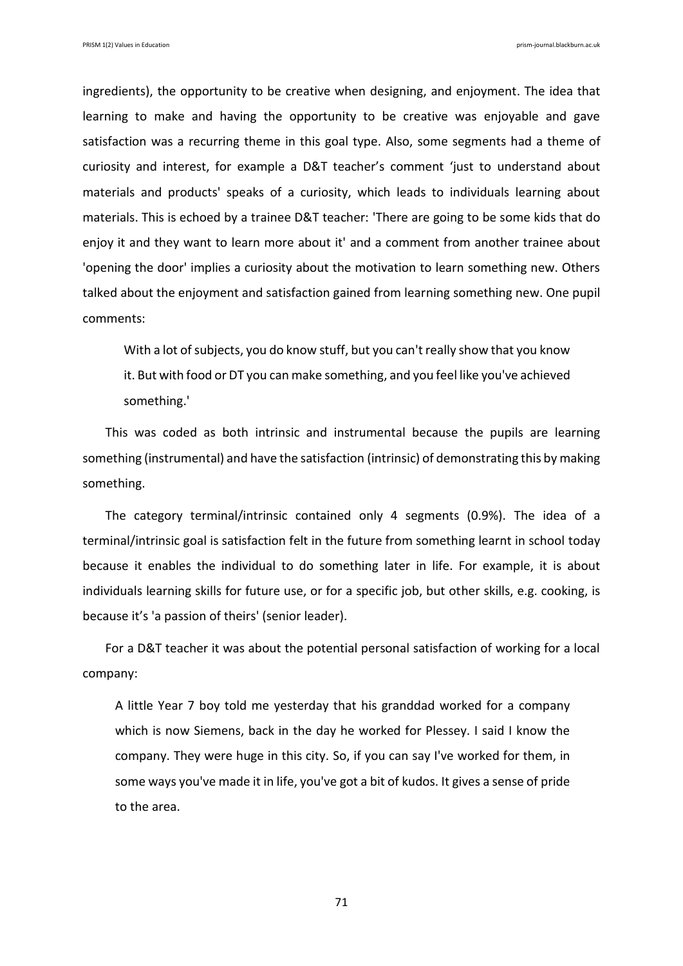ingredients), the opportunity to be creative when designing, and enjoyment. The idea that learning to make and having the opportunity to be creative was enjoyable and gave satisfaction was a recurring theme in this goal type. Also, some segments had a theme of curiosity and interest, for example a D&T teacher's comment 'just to understand about materials and products' speaks of a curiosity, which leads to individuals learning about materials. This is echoed by a trainee D&T teacher: 'There are going to be some kids that do enjoy it and they want to learn more about it' and a comment from another trainee about 'opening the door' implies a curiosity about the motivation to learn something new. Others talked about the enjoyment and satisfaction gained from learning something new. One pupil comments:

With a lot of subjects, you do know stuff, but you can't really show that you know it. But with food or DT you can make something, and you feel like you've achieved something.'

This was coded as both intrinsic and instrumental because the pupils are learning something (instrumental) and have the satisfaction (intrinsic) of demonstrating this by making something.

The category terminal/intrinsic contained only 4 segments (0.9%). The idea of a terminal/intrinsic goal is satisfaction felt in the future from something learnt in school today because it enables the individual to do something later in life. For example, it is about individuals learning skills for future use, or for a specific job, but other skills, e.g. cooking, is because it's 'a passion of theirs' (senior leader).

For a D&T teacher it was about the potential personal satisfaction of working for a local company:

A little Year 7 boy told me yesterday that his granddad worked for a company which is now Siemens, back in the day he worked for Plessey. I said I know the company. They were huge in this city. So, if you can say I've worked for them, in some ways you've made it in life, you've got a bit of kudos. It gives a sense of pride to the area.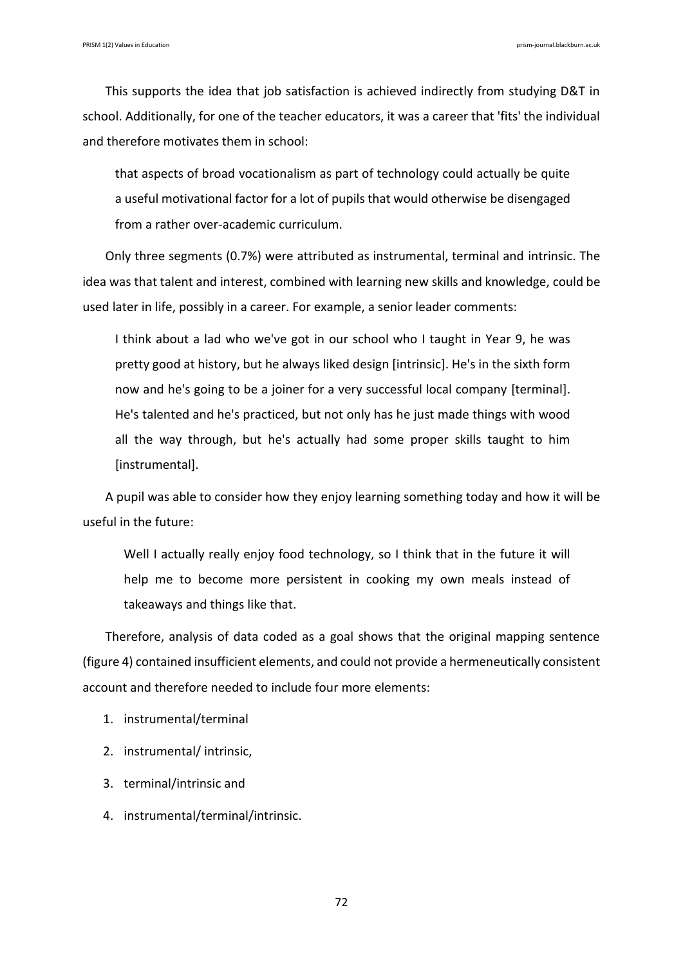This supports the idea that job satisfaction is achieved indirectly from studying D&T in school. Additionally, for one of the teacher educators, it was a career that 'fits' the individual and therefore motivates them in school:

that aspects of broad vocationalism as part of technology could actually be quite a useful motivational factor for a lot of pupils that would otherwise be disengaged from a rather over-academic curriculum.

Only three segments (0.7%) were attributed as instrumental, terminal and intrinsic. The idea was that talent and interest, combined with learning new skills and knowledge, could be used later in life, possibly in a career. For example, a senior leader comments:

I think about a lad who we've got in our school who I taught in Year 9, he was pretty good at history, but he always liked design [intrinsic]. He's in the sixth form now and he's going to be a joiner for a very successful local company [terminal]. He's talented and he's practiced, but not only has he just made things with wood all the way through, but he's actually had some proper skills taught to him [instrumental].

A pupil was able to consider how they enjoy learning something today and how it will be useful in the future:

Well I actually really enjoy food technology, so I think that in the future it will help me to become more persistent in cooking my own meals instead of takeaways and things like that.

Therefore, analysis of data coded as a goal shows that the original mapping sentence (figure 4) contained insufficient elements, and could not provide a hermeneutically consistent account and therefore needed to include four more elements:

- 1. instrumental/terminal
- 2. instrumental/ intrinsic,
- 3. terminal/intrinsic and
- 4. instrumental/terminal/intrinsic.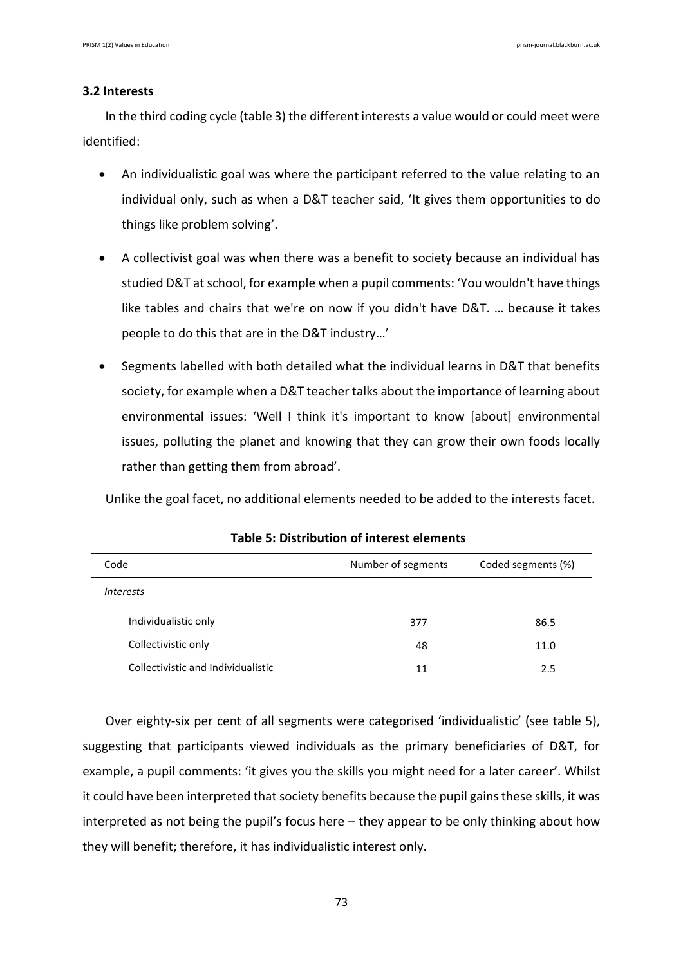# **3.2 Interests**

In the third coding cycle (table 3) the different interests a value would or could meet were identified:

- An individualistic goal was where the participant referred to the value relating to an individual only, such as when a D&T teacher said, 'It gives them opportunities to do things like problem solving'.
- A collectivist goal was when there was a benefit to society because an individual has studied D&T at school, for example when a pupil comments: 'You wouldn't have things like tables and chairs that we're on now if you didn't have D&T. … because it takes people to do this that are in the D&T industry…'
- Segments labelled with both detailed what the individual learns in D&T that benefits society, for example when a D&T teacher talks about the importance of learning about environmental issues: 'Well I think it's important to know [about] environmental issues, polluting the planet and knowing that they can grow their own foods locally rather than getting them from abroad'.

Unlike the goal facet, no additional elements needed to be added to the interests facet.

| Code                               | Number of segments | Coded segments (%) |
|------------------------------------|--------------------|--------------------|
| <i>Interests</i>                   |                    |                    |
| Individualistic only               | 377                | 86.5               |
| Collectivistic only                | 48                 | 11.0               |
| Collectivistic and Individualistic | 11                 | 2.5                |

**Table 5: Distribution of interest elements**

Over eighty-six per cent of all segments were categorised 'individualistic' (see table 5), suggesting that participants viewed individuals as the primary beneficiaries of D&T, for example, a pupil comments: 'it gives you the skills you might need for a later career'. Whilst it could have been interpreted that society benefits because the pupil gains these skills, it was interpreted as not being the pupil's focus here – they appear to be only thinking about how they will benefit; therefore, it has individualistic interest only.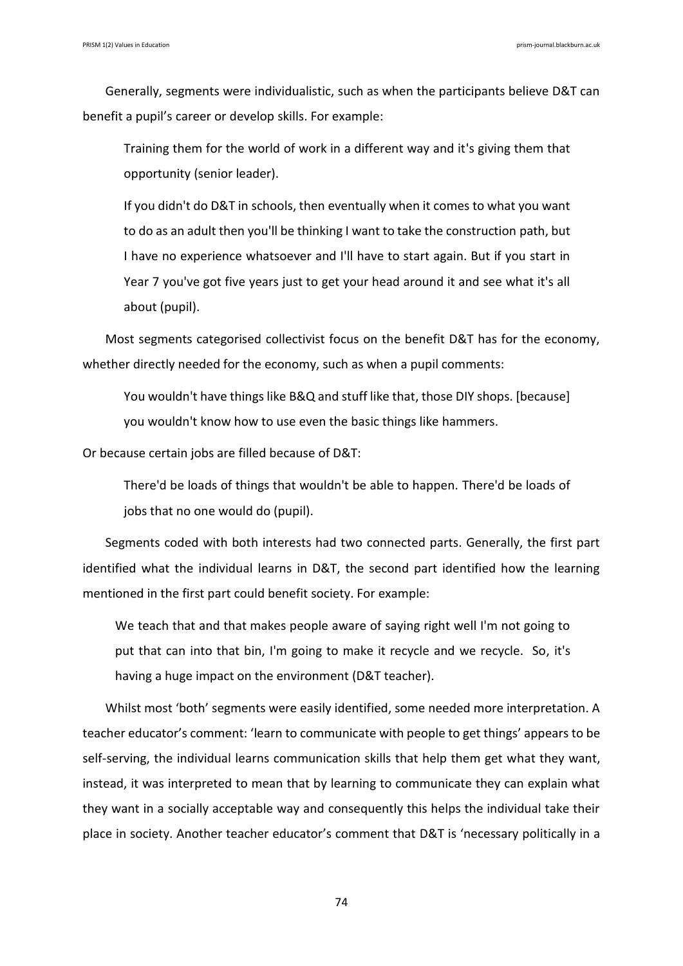Generally, segments were individualistic, such as when the participants believe D&T can benefit a pupil's career or develop skills. For example:

Training them for the world of work in a different way and it's giving them that opportunity (senior leader).

If you didn't do D&T in schools, then eventually when it comes to what you want to do as an adult then you'll be thinking I want to take the construction path, but I have no experience whatsoever and I'll have to start again. But if you start in Year 7 you've got five years just to get your head around it and see what it's all about (pupil).

Most segments categorised collectivist focus on the benefit D&T has for the economy, whether directly needed for the economy, such as when a pupil comments:

You wouldn't have things like B&Q and stuff like that, those DIY shops. [because] you wouldn't know how to use even the basic things like hammers.

Or because certain jobs are filled because of D&T:

There'd be loads of things that wouldn't be able to happen. There'd be loads of jobs that no one would do (pupil).

Segments coded with both interests had two connected parts. Generally, the first part identified what the individual learns in D&T, the second part identified how the learning mentioned in the first part could benefit society. For example:

We teach that and that makes people aware of saying right well I'm not going to put that can into that bin, I'm going to make it recycle and we recycle. So, it's having a huge impact on the environment (D&T teacher).

Whilst most 'both' segments were easily identified, some needed more interpretation. A teacher educator's comment: 'learn to communicate with people to get things' appears to be self-serving, the individual learns communication skills that help them get what they want, instead, it was interpreted to mean that by learning to communicate they can explain what they want in a socially acceptable way and consequently this helps the individual take their place in society. Another teacher educator's comment that D&T is 'necessary politically in a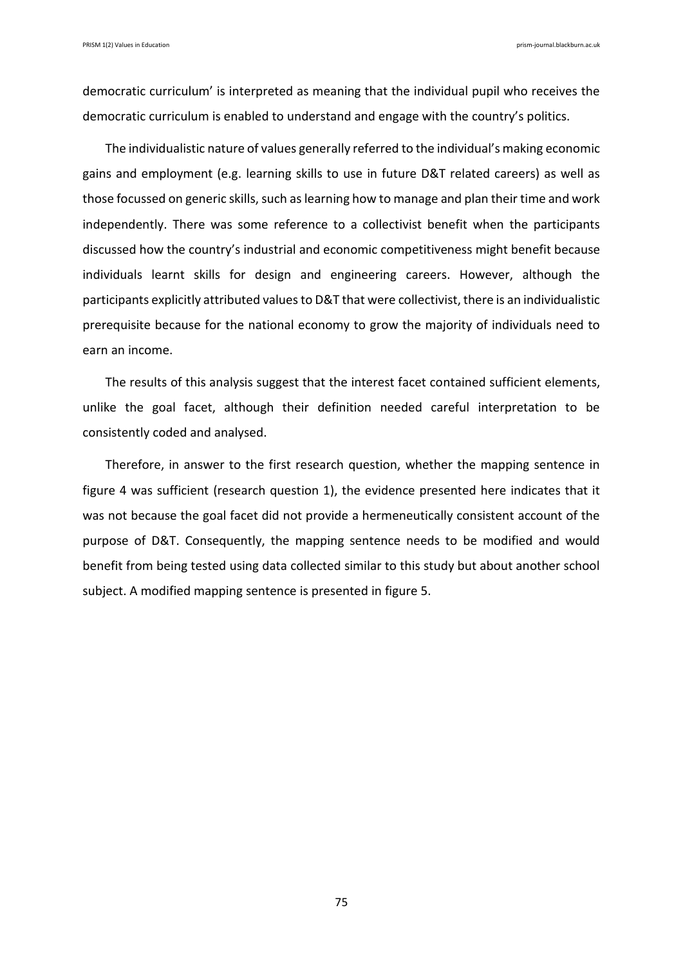democratic curriculum' is interpreted as meaning that the individual pupil who receives the democratic curriculum is enabled to understand and engage with the country's politics.

The individualistic nature of values generally referred to the individual's making economic gains and employment (e.g. learning skills to use in future D&T related careers) as well as those focussed on generic skills, such as learning how to manage and plan their time and work independently. There was some reference to a collectivist benefit when the participants discussed how the country's industrial and economic competitiveness might benefit because individuals learnt skills for design and engineering careers. However, although the participants explicitly attributed values to D&T that were collectivist, there is an individualistic prerequisite because for the national economy to grow the majority of individuals need to earn an income.

The results of this analysis suggest that the interest facet contained sufficient elements, unlike the goal facet, although their definition needed careful interpretation to be consistently coded and analysed.

Therefore, in answer to the first research question, whether the mapping sentence in figure 4 was sufficient (research question 1), the evidence presented here indicates that it was not because the goal facet did not provide a hermeneutically consistent account of the purpose of D&T. Consequently, the mapping sentence needs to be modified and would benefit from being tested using data collected similar to this study but about another school subject. A modified mapping sentence is presented in figure 5.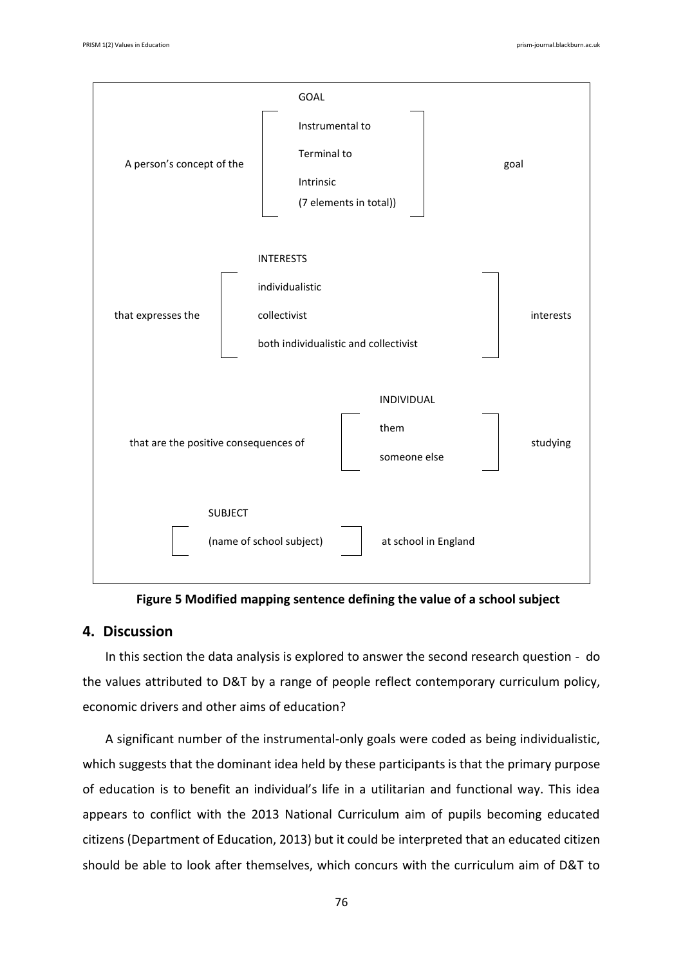

**Figure 5 Modified mapping sentence defining the value of a school subject**

# **4. Discussion**

In this section the data analysis is explored to answer the second research question - do the values attributed to D&T by a range of people reflect contemporary curriculum policy, economic drivers and other aims of education?

A significant number of the instrumental-only goals were coded as being individualistic, which suggests that the dominant idea held by these participants is that the primary purpose of education is to benefit an individual's life in a utilitarian and functional way. This idea appears to conflict with the 2013 National Curriculum aim of pupils becoming educated citizens (Department of Education, 2013) but it could be interpreted that an educated citizen should be able to look after themselves, which concurs with the curriculum aim of D&T to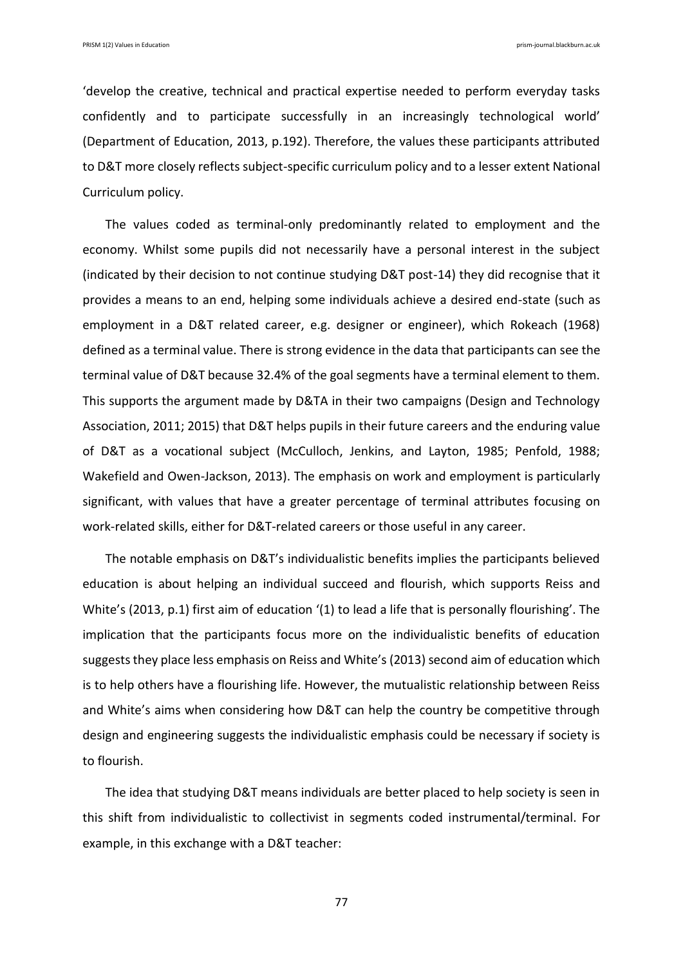'develop the creative, technical and practical expertise needed to perform everyday tasks confidently and to participate successfully in an increasingly technological world' (Department of Education, 2013, p.192). Therefore, the values these participants attributed to D&T more closely reflects subject-specific curriculum policy and to a lesser extent National Curriculum policy.

The values coded as terminal-only predominantly related to employment and the economy. Whilst some pupils did not necessarily have a personal interest in the subject (indicated by their decision to not continue studying D&T post-14) they did recognise that it provides a means to an end, helping some individuals achieve a desired end-state (such as employment in a D&T related career, e.g. designer or engineer), which Rokeach (1968) defined as a terminal value. There is strong evidence in the data that participants can see the terminal value of D&T because 32.4% of the goal segments have a terminal element to them. This supports the argument made by D&TA in their two campaigns (Design and Technology Association, 2011; 2015) that D&T helps pupils in their future careers and the enduring value of D&T as a vocational subject (McCulloch, Jenkins, and Layton, 1985; Penfold, 1988; Wakefield and Owen-Jackson, 2013). The emphasis on work and employment is particularly significant, with values that have a greater percentage of terminal attributes focusing on work-related skills, either for D&T-related careers or those useful in any career.

The notable emphasis on D&T's individualistic benefits implies the participants believed education is about helping an individual succeed and flourish, which supports Reiss and White's (2013, p.1) first aim of education '(1) to lead a life that is personally flourishing'. The implication that the participants focus more on the individualistic benefits of education suggests they place less emphasis on Reiss and White's (2013) second aim of education which is to help others have a flourishing life. However, the mutualistic relationship between Reiss and White's aims when considering how D&T can help the country be competitive through design and engineering suggests the individualistic emphasis could be necessary if society is to flourish.

The idea that studying D&T means individuals are better placed to help society is seen in this shift from individualistic to collectivist in segments coded instrumental/terminal. For example, in this exchange with a D&T teacher: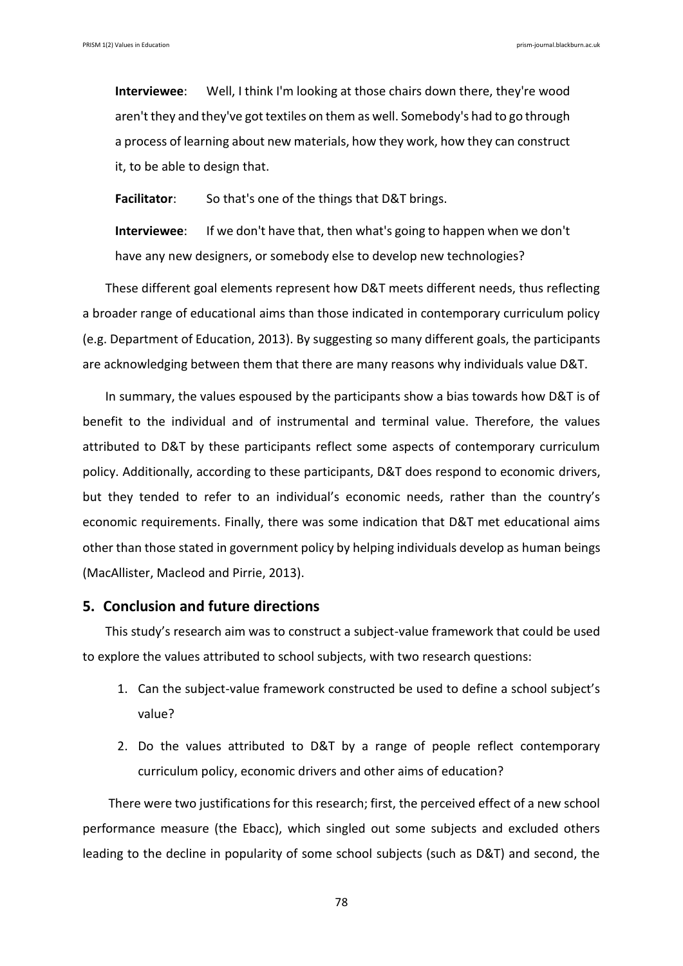**Interviewee**: Well, I think I'm looking at those chairs down there, they're wood aren't they and they've got textiles on them as well. Somebody's had to go through a process of learning about new materials, how they work, how they can construct it, to be able to design that.

**Facilitator**: So that's one of the things that D&T brings.

**Interviewee**: If we don't have that, then what's going to happen when we don't have any new designers, or somebody else to develop new technologies?

These different goal elements represent how D&T meets different needs, thus reflecting a broader range of educational aims than those indicated in contemporary curriculum policy (e.g. Department of Education, 2013). By suggesting so many different goals, the participants are acknowledging between them that there are many reasons why individuals value D&T.

In summary, the values espoused by the participants show a bias towards how D&T is of benefit to the individual and of instrumental and terminal value. Therefore, the values attributed to D&T by these participants reflect some aspects of contemporary curriculum policy. Additionally, according to these participants, D&T does respond to economic drivers, but they tended to refer to an individual's economic needs, rather than the country's economic requirements. Finally, there was some indication that D&T met educational aims other than those stated in government policy by helping individuals develop as human beings (MacAllister, Macleod and Pirrie, 2013).

# **5. Conclusion and future directions**

This study's research aim was to construct a subject-value framework that could be used to explore the values attributed to school subjects, with two research questions:

- 1. Can the subject-value framework constructed be used to define a school subject's value?
- 2. Do the values attributed to D&T by a range of people reflect contemporary curriculum policy, economic drivers and other aims of education?

There were two justifications for this research; first, the perceived effect of a new school performance measure (the Ebacc), which singled out some subjects and excluded others leading to the decline in popularity of some school subjects (such as D&T) and second, the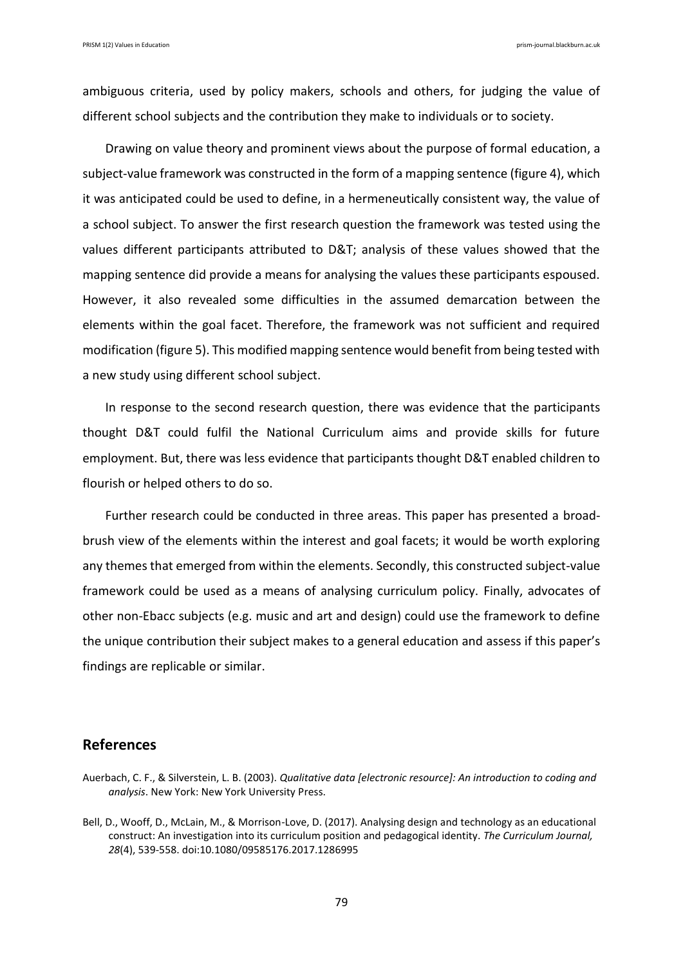ambiguous criteria, used by policy makers, schools and others, for judging the value of different school subjects and the contribution they make to individuals or to society.

Drawing on value theory and prominent views about the purpose of formal education, a subject-value framework was constructed in the form of a mapping sentence (figure 4), which it was anticipated could be used to define, in a hermeneutically consistent way, the value of a school subject. To answer the first research question the framework was tested using the values different participants attributed to D&T; analysis of these values showed that the mapping sentence did provide a means for analysing the values these participants espoused. However, it also revealed some difficulties in the assumed demarcation between the elements within the goal facet. Therefore, the framework was not sufficient and required modification (figure 5). This modified mapping sentence would benefit from being tested with a new study using different school subject.

In response to the second research question, there was evidence that the participants thought D&T could fulfil the National Curriculum aims and provide skills for future employment. But, there was less evidence that participants thought D&T enabled children to flourish or helped others to do so.

Further research could be conducted in three areas. This paper has presented a broadbrush view of the elements within the interest and goal facets; it would be worth exploring any themes that emerged from within the elements. Secondly, this constructed subject-value framework could be used as a means of analysing curriculum policy. Finally, advocates of other non-Ebacc subjects (e.g. music and art and design) could use the framework to define the unique contribution their subject makes to a general education and assess if this paper's findings are replicable or similar.

# **References**

Auerbach, C. F., & Silverstein, L. B. (2003). *Qualitative data [electronic resource]: An introduction to coding and analysis*. New York: New York University Press.

Bell, D., Wooff, D., McLain, M., & Morrison-Love, D. (2017). Analysing design and technology as an educational construct: An investigation into its curriculum position and pedagogical identity. *The Curriculum Journal, 28*(4), 539-558. doi:10.1080/09585176.2017.1286995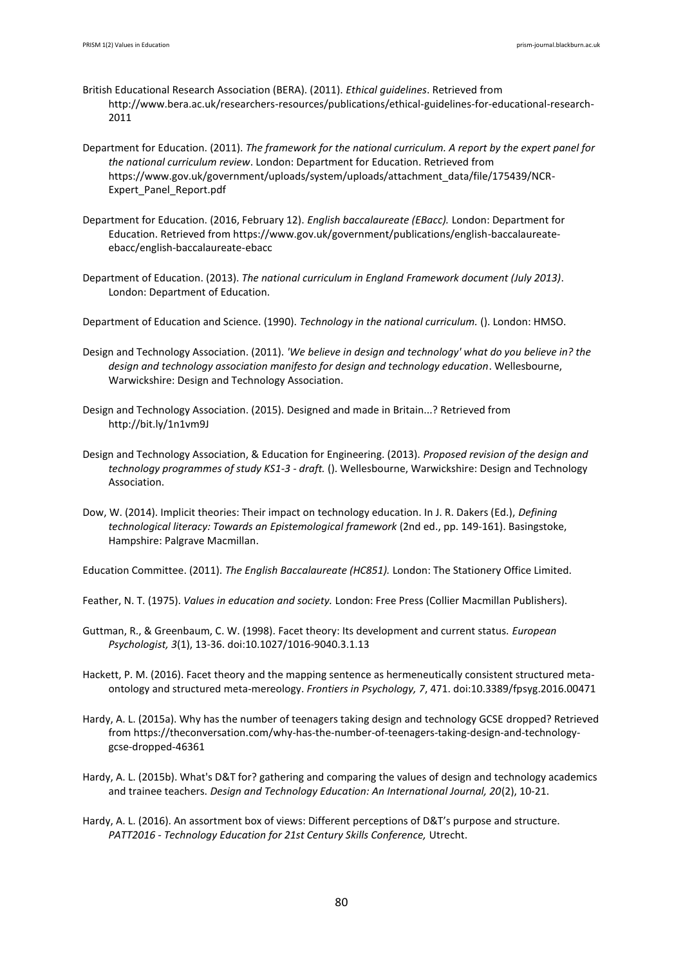- British Educational Research Association (BERA). (2011). *Ethical guidelines*. Retrieved from http://www.bera.ac.uk/researchers-resources/publications/ethical-guidelines-for-educational-research-2011
- Department for Education. (2011). *The framework for the national curriculum. A report by the expert panel for the national curriculum review*. London: Department for Education. Retrieved from https://www.gov.uk/government/uploads/system/uploads/attachment\_data/file/175439/NCR-Expert\_Panel\_Report.pdf
- Department for Education. (2016, February 12). *English baccalaureate (EBacc).* London: Department for Education. Retrieved from https://www.gov.uk/government/publications/english-baccalaureateebacc/english-baccalaureate-ebacc
- Department of Education. (2013). *The national curriculum in England Framework document (July 2013)*. London: Department of Education.
- Department of Education and Science. (1990). *Technology in the national curriculum.* (). London: HMSO.
- Design and Technology Association. (2011). *'We believe in design and technology' what do you believe in? the design and technology association manifesto for design and technology education*. Wellesbourne, Warwickshire: Design and Technology Association.
- Design and Technology Association. (2015). Designed and made in Britain...? Retrieved from http://bit.ly/1n1vm9J
- Design and Technology Association, & Education for Engineering. (2013). *Proposed revision of the design and technology programmes of study KS1-3 - draft.* (). Wellesbourne, Warwickshire: Design and Technology Association.
- Dow, W. (2014). Implicit theories: Their impact on technology education. In J. R. Dakers (Ed.), *Defining technological literacy: Towards an Epistemological framework* (2nd ed., pp. 149-161). Basingstoke, Hampshire: Palgrave Macmillan.

Education Committee. (2011). *The English Baccalaureate (HC851).* London: The Stationery Office Limited.

- Feather, N. T. (1975). *Values in education and society.* London: Free Press (Collier Macmillan Publishers).
- Guttman, R., & Greenbaum, C. W. (1998). Facet theory: Its development and current status. *European Psychologist, 3*(1), 13-36. doi:10.1027/1016-9040.3.1.13

Hackett, P. M. (2016). Facet theory and the mapping sentence as hermeneutically consistent structured metaontology and structured meta-mereology. *Frontiers in Psychology, 7*, 471. doi:10.3389/fpsyg.2016.00471

- Hardy, A. L. (2015a). Why has the number of teenagers taking design and technology GCSE dropped? Retrieved from https://theconversation.com/why-has-the-number-of-teenagers-taking-design-and-technologygcse-dropped-46361
- Hardy, A. L. (2015b). What's D&T for? gathering and comparing the values of design and technology academics and trainee teachers. *Design and Technology Education: An International Journal, 20*(2), 10-21.
- Hardy, A. L. (2016). An assortment box of views: Different perceptions of D&T's purpose and structure. *PATT2016 - Technology Education for 21st Century Skills Conference,* Utrecht.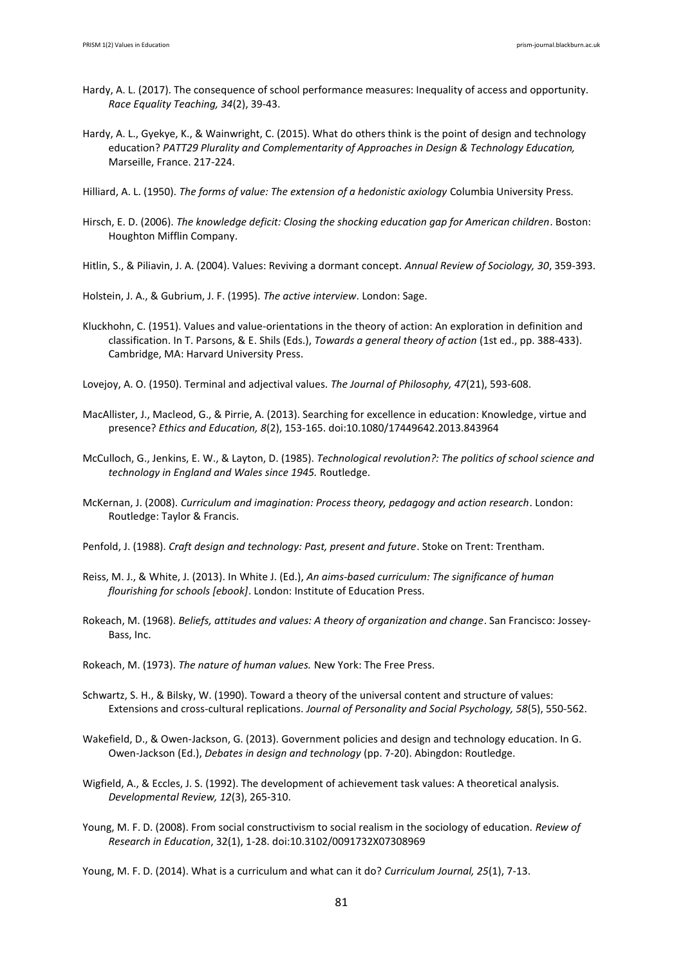- Hardy, A. L. (2017). The consequence of school performance measures: Inequality of access and opportunity. *Race Equality Teaching, 34*(2), 39-43.
- Hardy, A. L., Gyekye, K., & Wainwright, C. (2015). What do others think is the point of design and technology education? *PATT29 Plurality and Complementarity of Approaches in Design & Technology Education,*  Marseille, France. 217-224.
- Hilliard, A. L. (1950). *The forms of value: The extension of a hedonistic axiology* Columbia University Press.
- Hirsch, E. D. (2006). *The knowledge deficit: Closing the shocking education gap for American children*. Boston: Houghton Mifflin Company.
- Hitlin, S., & Piliavin, J. A. (2004). Values: Reviving a dormant concept. *Annual Review of Sociology, 30*, 359-393.
- Holstein, J. A., & Gubrium, J. F. (1995). *The active interview*. London: Sage.
- Kluckhohn, C. (1951). Values and value-orientations in the theory of action: An exploration in definition and classification. In T. Parsons, & E. Shils (Eds.), *Towards a general theory of action* (1st ed., pp. 388-433). Cambridge, MA: Harvard University Press.
- Lovejoy, A. O. (1950). Terminal and adjectival values. *The Journal of Philosophy, 47*(21), 593-608.
- MacAllister, J., Macleod, G., & Pirrie, A. (2013). Searching for excellence in education: Knowledge, virtue and presence? *Ethics and Education, 8*(2), 153-165. doi:10.1080/17449642.2013.843964
- McCulloch, G., Jenkins, E. W., & Layton, D. (1985). *Technological revolution?: The politics of school science and technology in England and Wales since 1945.* Routledge.
- McKernan, J. (2008). *Curriculum and imagination: Process theory, pedagogy and action research*. London: Routledge: Taylor & Francis.
- Penfold, J. (1988). *Craft design and technology: Past, present and future*. Stoke on Trent: Trentham.
- Reiss, M. J., & White, J. (2013). In White J. (Ed.), *An aims-based curriculum: The significance of human flourishing for schools [ebook]*. London: Institute of Education Press.
- Rokeach, M. (1968). *Beliefs, attitudes and values: A theory of organization and change*. San Francisco: Jossey-Bass, Inc.
- Rokeach, M. (1973). *The nature of human values.* New York: The Free Press.
- Schwartz, S. H., & Bilsky, W. (1990). Toward a theory of the universal content and structure of values: Extensions and cross-cultural replications. *Journal of Personality and Social Psychology, 58*(5), 550-562.
- Wakefield, D., & Owen-Jackson, G. (2013). Government policies and design and technology education. In G. Owen-Jackson (Ed.), *Debates in design and technology* (pp. 7-20). Abingdon: Routledge.
- Wigfield, A., & Eccles, J. S. (1992). The development of achievement task values: A theoretical analysis. *Developmental Review, 12*(3), 265-310.
- Young, M. F. D. (2008). From social constructivism to social realism in the sociology of education. *Review of Research in Education*, 32(1), 1-28. doi:10.3102/0091732X07308969

Young, M. F. D. (2014). What is a curriculum and what can it do? *Curriculum Journal, 25*(1), 7-13.